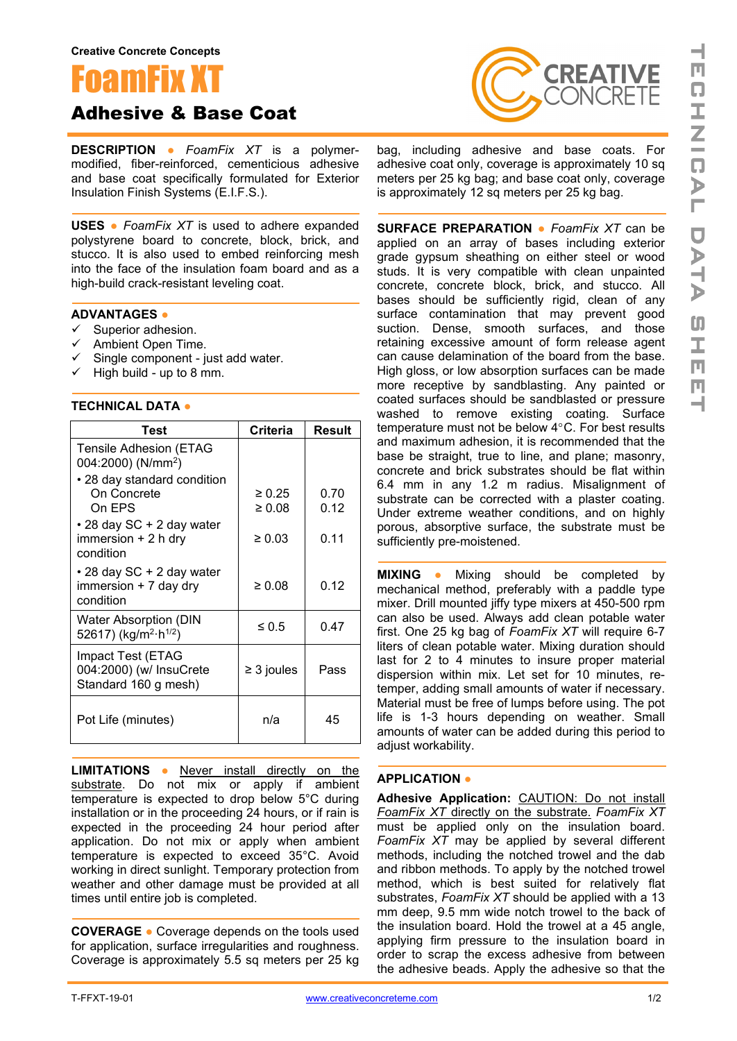**Creative Concrete Concepts**



# Adhesive & Base Coat

**DESCRIPTION ●** *FoamFix XT* is a polymermodified, fiber-reinforced, cementicious adhesive and base coat specifically formulated for Exterior Insulation Finish Systems (E.I.F.S.).

**USES ●** *FoamFix XT* is used to adhere expanded polystyrene board to concrete, block, brick, and stucco. It is also used to embed reinforcing mesh into the face of the insulation foam board and as a high-build crack-resistant leveling coat.

#### **ADVANTAGES ●**

- Superior adhesion.
- Ambient Open Time.
- Single component just add water.
- $\checkmark$  High build up to 8 mm.

### **TECHNICAL DATA ●**

| Test                                                                          | Criteria                   | <b>Result</b> |
|-------------------------------------------------------------------------------|----------------------------|---------------|
| <b>Tensile Adhesion (ETAG</b><br>004:2000) (N/mm <sup>2</sup> )               |                            |               |
| • 28 day standard condition<br>On Concrete<br>On EPS                          | $\geq 0.25$<br>$\geq 0.08$ | 0.70<br>0.12  |
| • 28 day SC + 2 day water<br>immersion $+2$ h dry<br>condition                | $\geq 0.03$                | 0.11          |
| • 28 day SC + 2 day water<br>immersion $+ 7$ day dry<br>condition             | $\geq 0.08$                | 0.12          |
| <b>Water Absorption (DIN</b><br>52617) (kg/m <sup>2</sup> ·h <sup>1/2</sup> ) | $\leq 0.5$                 | 0.47          |
| Impact Test (ETAG<br>004:2000) (w/ InsuCrete<br>Standard 160 g mesh)          | $\geq$ 3 joules            | Pass          |
| Pot Life (minutes)                                                            | n/a                        | 45            |

**LIMITATIONS ●** Never install directly on the substrate. Do not mix or apply if ambient temperature is expected to drop below 5°C during installation or in the proceeding 24 hours, or if rain is expected in the proceeding 24 hour period after application. Do not mix or apply when ambient temperature is expected to exceed 35°C. Avoid working in direct sunlight. Temporary protection from weather and other damage must be provided at all times until entire job is completed.

**COVERAGE ●** Coverage depends on the tools used for application, surface irregularities and roughness. Coverage is approximately 5.5 sq meters per 25 kg



bag, including adhesive and base coats. For adhesive coat only, coverage is approximately 10 sq meters per 25 kg bag; and base coat only, coverage is approximately 12 sq meters per 25 kg bag.

**SURFACE PREPARATION ●** *FoamFix XT* can be applied on an array of bases including exterior grade gypsum sheathing on either steel or wood studs. It is very compatible with clean unpainted concrete, concrete block, brick, and stucco. All bases should be sufficiently rigid, clean of any surface contamination that may prevent good suction. Dense, smooth surfaces, and those retaining excessive amount of form release agent can cause delamination of the board from the base. High gloss, or low absorption surfaces can be made more receptive by sandblasting. Any painted or coated surfaces should be sandblasted or pressure washed to remove existing coating. Surface temperature must not be below  $4^{\circ}$ C. For best results and maximum adhesion, it is recommended that the base be straight, true to line, and plane; masonry, concrete and brick substrates should be flat within 6.4 mm in any 1.2 m radius. Misalignment of substrate can be corrected with a plaster coating. Under extreme weather conditions, and on highly porous, absorptive surface, the substrate must be sufficiently pre-moistened.

**MIXING ●** Mixing should be completed by mechanical method, preferably with a paddle type mixer. Drill mounted jiffy type mixers at 450-500 rpm can also be used. Always add clean potable water first. One 25 kg bag of *FoamFix XT* will require 6-7 liters of clean potable water. Mixing duration should last for 2 to 4 minutes to insure proper material dispersion within mix. Let set for 10 minutes, retemper, adding small amounts of water if necessary. Material must be free of lumps before using. The pot life is 1-3 hours depending on weather. Small amounts of water can be added during this period to adjust workability.

#### **APPLICATION ●**

**Adhesive Application:** CAUTION: Do not install *FoamFix XT* directly on the substrate. *FoamFix XT* must be applied only on the insulation board. *FoamFix XT* may be applied by several different methods, including the notched trowel and the dab and ribbon methods. To apply by the notched trowel method, which is best suited for relatively flat substrates, *FoamFix XT* should be applied with a 13 mm deep, 9.5 mm wide notch trowel to the back of the insulation board. Hold the trowel at a 45 angle, applying firm pressure to the insulation board in order to scrap the excess adhesive from between the adhesive beads. Apply the adhesive so that the